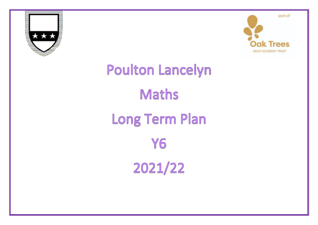



## Poulton Lancelyn Maths Long Term Plan Y6 2021/22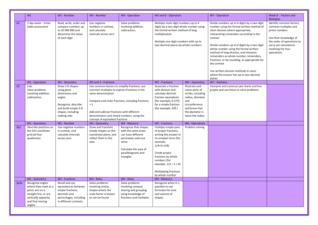|                  | W1                                                                                                                                          | W2 - Number                                                                                                                                   | W3 - Number                                                                                                                                                                                                                                                                                               | W4 - Operation                                                                                                                                                 | W5 and 6 - Operation                                                                                                                                                                                                                                                            |                                                                                                                                                           | W7 - Operation                                                                                                                                                                                                                                                                                                                                                                                                                                                                                                                  | Week 8 - Factors and<br><b>Multiples</b>                                                                                                                                                |
|------------------|---------------------------------------------------------------------------------------------------------------------------------------------|-----------------------------------------------------------------------------------------------------------------------------------------------|-----------------------------------------------------------------------------------------------------------------------------------------------------------------------------------------------------------------------------------------------------------------------------------------------------------|----------------------------------------------------------------------------------------------------------------------------------------------------------------|---------------------------------------------------------------------------------------------------------------------------------------------------------------------------------------------------------------------------------------------------------------------------------|-----------------------------------------------------------------------------------------------------------------------------------------------------------|---------------------------------------------------------------------------------------------------------------------------------------------------------------------------------------------------------------------------------------------------------------------------------------------------------------------------------------------------------------------------------------------------------------------------------------------------------------------------------------------------------------------------------|-----------------------------------------------------------------------------------------------------------------------------------------------------------------------------------------|
| A1               | 2 day week - times<br>table assessment                                                                                                      | Read, write, order and<br>compare numbers up<br>to 10 000 000 and<br>determine the value<br>of each digit                                     | Use negative<br>numbers in context,<br>and calculate<br>intervals across zero                                                                                                                                                                                                                             | Solve problems<br>involving addition,<br>subtraction,                                                                                                          | Multiply multi-digit numbers up to 4<br>digits by a two-digit whole number using<br>the formal written method of long<br>multiplication<br>Multiply one-digit numbers with up to<br>two decimal places by whole numbers                                                         |                                                                                                                                                           | Divide numbers up to 4 digits by a two-digit<br>number using the formal written method of<br>short division where appropriate,<br>interpreting remainders according to the<br>context<br>Divide numbers up to 4 digits by a two-digit<br>whole number using the formal written<br>method of long division, and interpret<br>remainders as whole number remainders,<br>fractions, or by rounding, as appropriate for<br>the context<br>Use written division methods in cases<br>where the answer has up to two decimal<br>places | Identify common factors,<br>common multiples and<br>prime numbers<br>Use their knowledge of<br>the order of operations to<br>carry out calculations<br>involving the four<br>operations |
|                  | W1 - Operation                                                                                                                              | W2 - Geometry                                                                                                                                 | W3 and 4 - Fractions                                                                                                                                                                                                                                                                                      |                                                                                                                                                                | W5 - Fractions                                                                                                                                                                                                                                                                  | W6-Geometry                                                                                                                                               | W7 - Statistics                                                                                                                                                                                                                                                                                                                                                                                                                                                                                                                 |                                                                                                                                                                                         |
| A2               | Calc<br>Solve problems<br>involving addition,<br>subtraction,                                                                               | Draw 2-D shapes<br>using given<br>dimensions and<br>angles<br>Recognise, describe<br>and build simple 3-D<br>shapes, including<br>making nets | Use common factors to simplify fractions; use<br>common multiples to express fractions in the<br>same denomination<br>Compare and order fractions, including fractions<br>>1<br>Add and subtract fractions with different<br>denominators and mixed numbers, using the<br>concept of equivalent fractions |                                                                                                                                                                | Associate a fraction<br>with division and<br>calculate decimal<br>fraction equivalents<br>[for example, 0.375]<br>for a simple fraction<br>[for example, 3/8]                                                                                                                   | Illustrate and<br>name parts of<br>circles, including<br>radius, diameter<br>and<br>circumference<br>and know that<br>the diameter is<br>twice the radius | Interpret and construct pie charts and line<br>graphs and use these to solve problems                                                                                                                                                                                                                                                                                                                                                                                                                                           |                                                                                                                                                                                         |
|                  | W1 - Geometry                                                                                                                               | W2 - Number                                                                                                                                   | W3 - Geometry                                                                                                                                                                                                                                                                                             | W4 - Measure                                                                                                                                                   | W5 - Fractions                                                                                                                                                                                                                                                                  | W6 - Operations                                                                                                                                           |                                                                                                                                                                                                                                                                                                                                                                                                                                                                                                                                 |                                                                                                                                                                                         |
| Sp1              | Describe positions on<br>the full coordinate<br>grid (all four<br>quadrants)                                                                | Use negative numbers<br>in context, and<br>calculate intervals<br>across zero                                                                 | Draw and translate<br>simple shapes on the<br>coordinate plane, and<br>reflect them in the<br>axes                                                                                                                                                                                                        | Recognise that shapes<br>with the same areas<br>can have different<br>perimeters and vice<br>versa<br>Calculate the area of<br>parallelograms and<br>triangles | Multiply simple pairs<br>of proper fractions,<br>writing the answer in<br>its simplest form [for<br>example,<br>$1/4 \times 1/2 = 1/8$<br>Divide proper<br>fractions by whole<br>numbers [for<br>example, $1/3 \div 2 = 6$ )<br><b>Multiplying fractions</b><br>by whole number | Problem solving                                                                                                                                           |                                                                                                                                                                                                                                                                                                                                                                                                                                                                                                                                 |                                                                                                                                                                                         |
|                  | W1 - Geometry                                                                                                                               | W <sub>2</sub> - Fractions                                                                                                                    | W3 - Ratio                                                                                                                                                                                                                                                                                                | W4 - Ratio                                                                                                                                                     | W5 - Measure                                                                                                                                                                                                                                                                    |                                                                                                                                                           |                                                                                                                                                                                                                                                                                                                                                                                                                                                                                                                                 |                                                                                                                                                                                         |
| Sp <sub>2a</sub> | Recognise angles<br>where they meet at a<br>point, are on a<br>straight line, or are<br>vertically opposite,<br>and find missing<br>angles. | Recall and use<br>equivalences between<br>simple fractions,<br>decimals and<br>percentages, including<br>in different contexts.               | Solve problems<br>involving similar<br>shapes where the<br>scale factor is known<br>or can be found                                                                                                                                                                                                       | Solve problems<br>involving unequal<br>sharing and grouping<br>using knowledge of<br>fractions and multiples.                                                  | Recognise when it is<br>possible to use<br>formulae for area<br>and volume of<br>shapes                                                                                                                                                                                         |                                                                                                                                                           |                                                                                                                                                                                                                                                                                                                                                                                                                                                                                                                                 |                                                                                                                                                                                         |